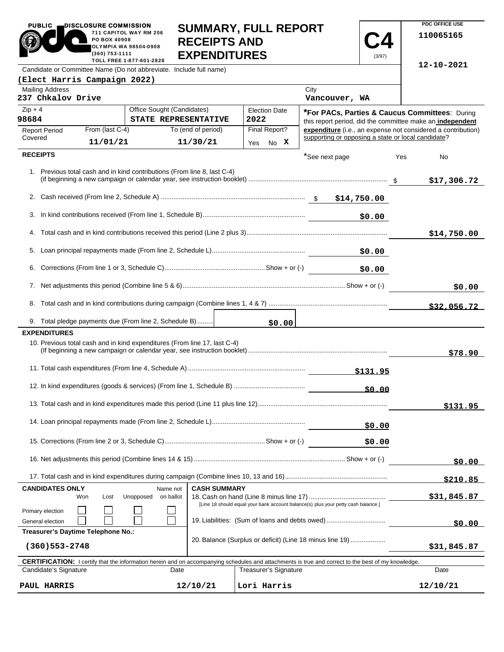| <b>_DISCLOSURE COMMISSION</b><br><b>PUBLIC</b><br>711 CAPITOL WAY RM 206<br>PO BOX 40908<br><b>OLYMPIA WA 98504-0908</b><br>(360) 753-1111<br>TOLL FREE 1-877-601-2828 | <b>SUMMARY, FULL REPORT</b><br><b>RECEIPTS AND</b><br><b>EXPENDITURES</b> | (3/97) |
|------------------------------------------------------------------------------------------------------------------------------------------------------------------------|---------------------------------------------------------------------------|--------|
| Candidate or Committee Name (Do not abbreviate. Include full name)                                                                                                     |                                                                           |        |
| (Elect Harris Campaign 2022)                                                                                                                                           |                                                                           |        |
| Mailing Address<br>237 Chkalov Drive                                                                                                                                   | City<br>Vancouver, WA                                                     |        |

**PDC OFFICE USE 110065165**

**12-10-2021**

| <b>Mailing Address</b><br>237 Chkalov Drive                                                                                                                |                                                    |                     |                              | City<br>Vancouver, WA                                                                                                               |          |             |
|------------------------------------------------------------------------------------------------------------------------------------------------------------|----------------------------------------------------|---------------------|------------------------------|-------------------------------------------------------------------------------------------------------------------------------------|----------|-------------|
| $Zip + 4$<br>98684                                                                                                                                         | Office Sought (Candidates)<br>STATE REPRESENTATIVE |                     | <b>Election Date</b><br>2022 | *For PACs, Parties & Caucus Committees: During<br>this report period, did the committee make an independent                         |          |             |
| From (last C-4)<br><b>Report Period</b><br>Covered                                                                                                         |                                                    | To (end of period)  | Final Report?                | expenditure (i.e., an expense not considered a contribution)<br>supporting or opposing a state or local candidate?                  |          |             |
| 11/01/21                                                                                                                                                   |                                                    | 11/30/21            | Yes No X                     |                                                                                                                                     |          |             |
| <b>RECEIPTS</b>                                                                                                                                            |                                                    |                     |                              | *See next page                                                                                                                      | Yes      | No          |
| 1. Previous total cash and in kind contributions (From line 8, last C-4)                                                                                   |                                                    |                     |                              |                                                                                                                                     |          | \$17,306.72 |
|                                                                                                                                                            |                                                    |                     |                              |                                                                                                                                     |          |             |
| 3.                                                                                                                                                         |                                                    |                     |                              | \$0.00                                                                                                                              |          |             |
|                                                                                                                                                            |                                                    |                     |                              |                                                                                                                                     |          | \$14,750.00 |
| 5.                                                                                                                                                         |                                                    |                     |                              | \$0.00                                                                                                                              |          |             |
| 6.                                                                                                                                                         |                                                    |                     |                              | \$0.00                                                                                                                              |          |             |
|                                                                                                                                                            |                                                    |                     |                              |                                                                                                                                     |          | \$0.00      |
|                                                                                                                                                            |                                                    |                     |                              |                                                                                                                                     |          | \$32,056.72 |
| 9. Total pledge payments due (From line 2, Schedule B)                                                                                                     |                                                    |                     |                              |                                                                                                                                     |          |             |
| <b>EXPENDITURES</b><br>10. Previous total cash and in kind expenditures (From line 17, last C-4)                                                           |                                                    |                     |                              |                                                                                                                                     |          | \$78.90     |
|                                                                                                                                                            |                                                    |                     |                              | <u>\$131.95</u>                                                                                                                     |          |             |
|                                                                                                                                                            |                                                    |                     |                              | \$0.00                                                                                                                              |          |             |
|                                                                                                                                                            |                                                    |                     |                              |                                                                                                                                     |          | \$131.95    |
|                                                                                                                                                            |                                                    |                     |                              | \$0.00                                                                                                                              |          |             |
|                                                                                                                                                            |                                                    |                     |                              | \$0.00                                                                                                                              |          |             |
|                                                                                                                                                            |                                                    |                     |                              |                                                                                                                                     |          | \$0.00      |
|                                                                                                                                                            |                                                    |                     |                              |                                                                                                                                     |          | \$210.85    |
| <b>CANDIDATES ONLY</b><br>Won<br>Lost                                                                                                                      | Name not<br>Unopposed<br>on ballot                 | <b>CASH SUMMARY</b> |                              |                                                                                                                                     |          | \$31,845.87 |
| Primary election                                                                                                                                           |                                                    |                     |                              | [Line 18 should equal your bank account balance(s) plus your petty cash balance.]<br>19. Liabilities: (Sum of loans and debts owed) |          |             |
| General election<br>Treasurer's Daytime Telephone No.:                                                                                                     |                                                    |                     |                              |                                                                                                                                     |          | \$0.00      |
| $(360)$ 553-2748                                                                                                                                           |                                                    |                     |                              | 20. Balance (Surplus or deficit) (Line 18 minus line 19)                                                                            |          | \$31,845.87 |
| <b>CERTIFICATION:</b> I certify that the information herein and on accompanying schedules and attachments is true and correct to the best of my knowledge. |                                                    |                     |                              |                                                                                                                                     |          |             |
| Candidate's Signature                                                                                                                                      | Date                                               |                     | Treasurer's Signature        |                                                                                                                                     | Date     |             |
| PAUL HARRIS                                                                                                                                                |                                                    | 12/10/21            | Lori Harris                  |                                                                                                                                     | 12/10/21 |             |